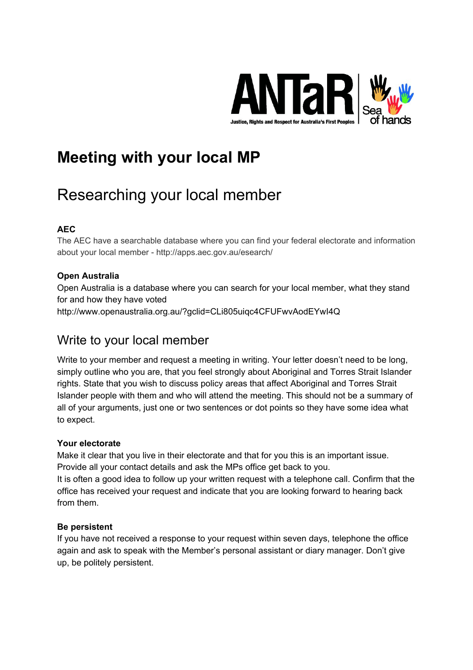

# **Meeting with your local MP**

# Researching your local member

# **AEC**

The AEC have a searchable database where you can find your federal electorate and information about your local member - http://apps.aec.gov.au/esearch/

# **Open Australia**

Open Australia is a database where you can search for your local member, what they stand for and how they have voted http://www.openaustralia.org.au/?gclid=CLi805uiqc4CFUFwvAodEYwI4Q

# Write to your local member

Write to your member and request a meeting in writing. Your letter doesn't need to be long, simply outline who you are, that you feel strongly about Aboriginal and Torres Strait Islander rights. State that you wish to discuss policy areas that affect Aboriginal and Torres Strait Islander people with them and who will attend the meeting. This should not be a summary of all of your arguments, just one or two sentences or dot points so they have some idea what to expect.

# **Your electorate**

Make it clear that you live in their electorate and that for you this is an important issue. Provide all your contact details and ask the MPs office get back to you.

It is often a good idea to follow up your written request with a telephone call. Confirm that the office has received your request and indicate that you are looking forward to hearing back from them.

#### **Be persistent**

If you have not received a response to your request within seven days, telephone the office again and ask to speak with the Member's personal assistant or diary manager. Don't give up, be politely persistent.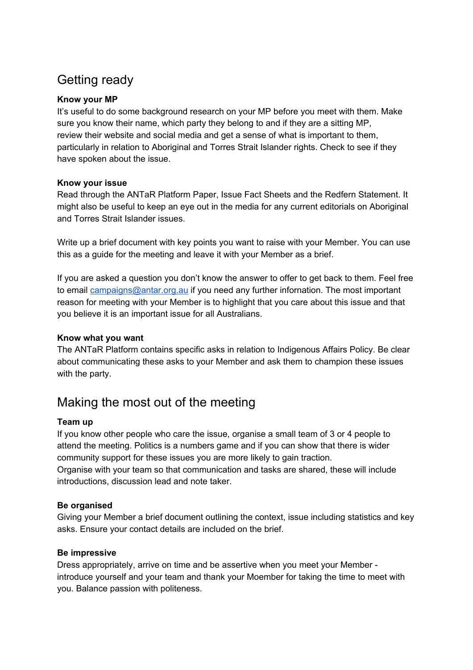# Getting ready

## **Know your MP**

It's useful to do some background research on your MP before you meet with them. Make sure you know their name, which party they belong to and if they are a sitting MP, review their website and social media and get a sense of what is important to them, particularly in relation to Aboriginal and Torres Strait Islander rights. Check to see if they have spoken about the issue.

### **Know your issue**

Read through the ANTaR Platform Paper, Issue Fact Sheets and the Redfern Statement. It might also be useful to keep an eye out in the media for any current editorials on Aboriginal and Torres Strait Islander issues.

Write up a brief document with key points you want to raise with your Member. You can use this as a guide for the meeting and leave it with your Member as a brief.

If you are asked a question you don't know the answer to offer to get back to them. Feel free to email [campaigns@antar.org.au](mailto:campaigns@antar.org.au) if you need any further infornation. The most important reason for meeting with your Member is to highlight that you care about this issue and that you believe it is an important issue for all Australians.

## **Know what you want**

The ANTaR Platform contains specific asks in relation to Indigenous Affairs Policy. Be clear about communicating these asks to your Member and ask them to champion these issues with the party.

# Making the most out of the meeting

#### **Team up**

If you know other people who care the issue, organise a small team of 3 or 4 people to attend the meeting. Politics is a numbers game and if you can show that there is wider community support for these issues you are more likely to gain traction.

Organise with your team so that communication and tasks are shared, these will include introductions, discussion lead and note taker.

# **Be organised**

Giving your Member a brief document outlining the context, issue including statistics and key asks. Ensure your contact details are included on the brief.

# **Be impressive**

Dress appropriately, arrive on time and be assertive when you meet your Member introduce yourself and your team and thank your Moember for taking the time to meet with you. Balance passion with politeness.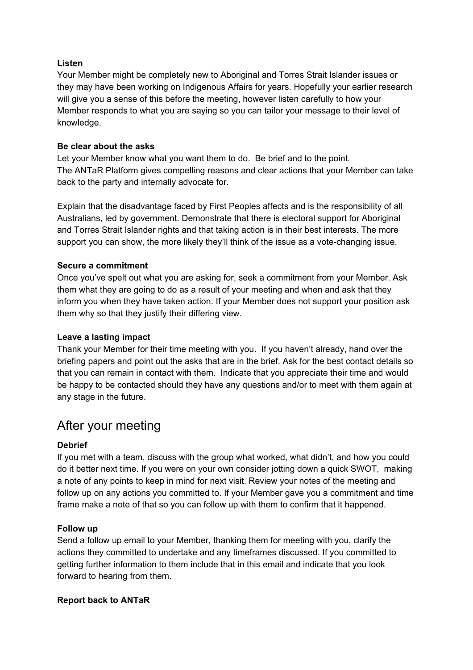## **Listen**

Your Member might be completely new to Aboriginal and Torres Strait Islander issues or they may have been working on Indigenous Affairs for years. Hopefully your earlier research will give you a sense of this before the meeting, however listen carefully to how your Member responds to what you are saying so you can tailor your message to their level of knowledge.

## **Be clear about the asks**

Let your Member know what you want them to do. Be brief and to the point. The ANTaR Platform gives compelling reasons and clear actions that your Member can take back to the party and internally advocate for.

Explain that the disadvantage faced by First Peoples affects and is the responsibility of all Australians, led by government. Demonstrate that there is electoral support for Aboriginal and Torres Strait Islander rights and that taking action is in their best interests. The more support you can show, the more likely they'll think of the issue as a vote-changing issue.

### **Secure a commitment**

Once you've spelt out what you are asking for, seek a commitment from your Member. Ask them what they are going to do as a result of your meeting and when and ask that they inform you when they have taken action. If your Member does not support your position ask them why so that they justify their differing view.

#### **Leave a lasting impact**

Thank your Member for their time meeting with you. If you haven't already, hand over the briefing papers and point out the asks that are in the brief. Ask for the best contact details so that you can remain in contact with them. Indicate that you appreciate their time and would be happy to be contacted should they have any questions and/or to meet with them again at any stage in the future.

# After your meeting

# **Debrief**

If you met with a team, discuss with the group what worked, what didn't, and how you could do it better next time. If you were on your own consider jotting down a quick SWOT, making a note of any points to keep in mind for next visit. Review your notes of the meeting and follow up on any actions you committed to. If your Member gave you a commitment and time frame make a note of that so you can follow up with them to confirm that it happened.

# **Follow up**

Send a follow up email to your Member, thanking them for meeting with you, clarify the actions they committed to undertake and any timeframes discussed. If you committed to getting further information to them include that in this email and indicate that you look forward to hearing from them.

#### **Report back to ANTaR**